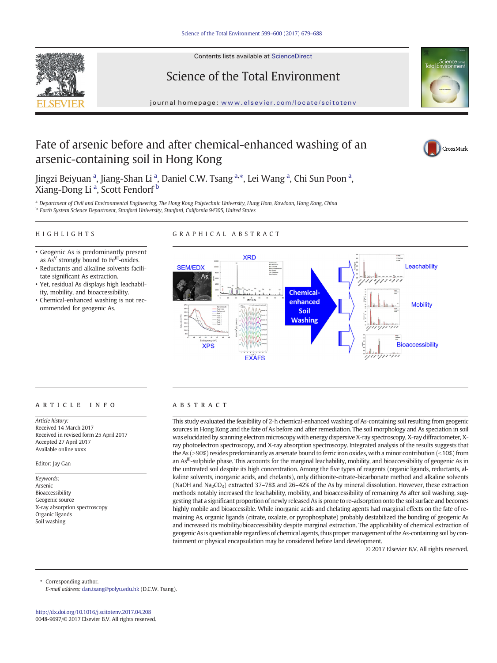

Contents lists available at ScienceDirect

## Science of the Total Environment



journal homepage: <www.elsevier.com/locate/scitotenv>

## Fate of arsenic before and after chemical-enhanced washing of an arsenic-containing soil in Hong Kong



Jingzi Beiyuan <sup>a</sup>, Jiang-Shan Li <sup>a</sup>, Daniel C.W. Tsang <sup>a,\*</sup>, Lei Wang <sup>a</sup>, Chi Sun Poon <sup>a</sup>, Xiang-Dong Li <sup>a</sup>, Scott Fendorf <sup>b</sup>

a Department of Civil and Environmental Engineering, The Hong Kong Polytechnic University, Hung Hom, Kowloon, Hong Kong, China b Earth System Science Department, Stanford University, Stanford, California 94305, United States

### HIGHLIGHTS

### GRAPHICAL ABSTRACT

- Geogenic As is predominantly present as  $As<sup>V</sup>$  strongly bound to Fe $<sup>III</sup>$ -oxides.</sup>
- Reductants and alkaline solvents facilitate significant As extraction.
- Yet, residual As displays high leachability, mobility, and bioaccessibility.
- Chemical-enhanced washing is not recommended for geogenic As.



### article info abstract

Article history: Received 14 March 2017 Received in revised form 25 April 2017 Accepted 27 April 2017 Available online xxxx

### Editor: Jay Gan

Keywords: Arsenic Bioaccessibility Geogenic source X-ray absorption spectroscopy Organic ligands Soil washing

This study evaluated the feasibility of 2-h chemical-enhanced washing of As-containing soil resulting from geogenic sources in Hong Kong and the fate of As before and after remediation. The soil morphology and As speciation in soil was elucidated by scanning electron microscopy with energy dispersive X-ray spectroscopy, X-ray diffractometer, Xray photoelectron spectroscopy, and X-ray absorption spectroscopy. Integrated analysis of the results suggests that the As ( $>90\%$ ) resides predominantly as arsenate bound to ferric iron oxides, with a minor contribution ( $<10\%$ ) from an As<sup>III</sup>-sulphide phase. This accounts for the marginal leachability, mobility, and bioaccessibility of geogenic As in the untreated soil despite its high concentration. Among the five types of reagents (organic ligands, reductants, alkaline solvents, inorganic acids, and chelants), only dithionite-citrate-bicarbonate method and alkaline solvents (NaOH and Na<sub>2</sub>CO<sub>3</sub>) extracted 37–78% and 26–42% of the As by mineral dissolution. However, these extraction methods notably increased the leachability, mobility, and bioaccessibility of remaining As after soil washing, suggesting that a significant proportion of newly released As is prone to re-adsorption onto the soil surface and becomes highly mobile and bioaccessible. While inorganic acids and chelating agents had marginal effects on the fate of remaining As, organic ligands (citrate, oxalate, or pyrophosphate) probably destabilized the bonding of geogenic As and increased its mobility/bioaccessibility despite marginal extraction. The applicability of chemical extraction of geogenic As is questionable regardless of chemical agents, thus proper management of the As-containing soil by containment or physical encapsulation may be considered before land development.

© 2017 Elsevier B.V. All rights reserved.

Corresponding author.

E-mail address: [dan.tsang@polyu.edu.hk](mailto:dan.tsang@polyu.edu.hk) (D.C.W. Tsang).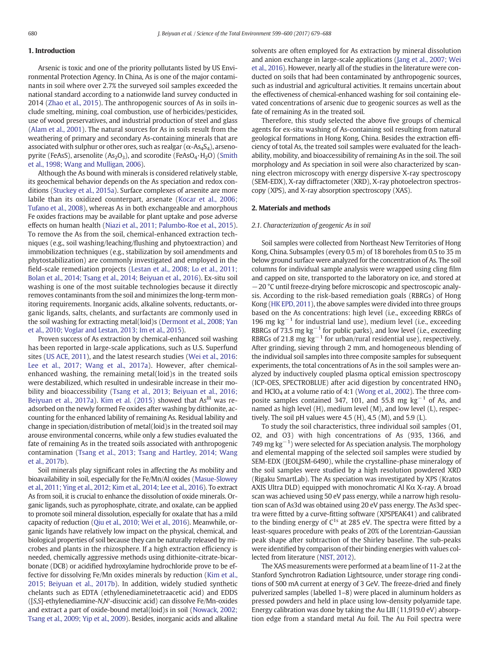### 1. Introduction

Arsenic is toxic and one of the priority pollutants listed by US Environmental Protection Agency. In China, As is one of the major contaminants in soil where over 2.7% the surveyed soil samples exceeded the national standard according to a nationwide land survey conducted in 2014 ([Zhao et al., 2015](#page--1-0)). The anthropogenic sources of As in soils include smelting, mining, coal combustion, use of herbicides/pesticides, use of wood preservatives, and industrial production of steel and glass [\(Alam et al., 2001](#page--1-0)). The natural sources for As in soils result from the weathering of primary and secondary As-containing minerals that are associated with sulphur or other ores, such as realgar ( $\alpha$ -As<sub>4</sub>S<sub>4</sub>), arsenopyrite (FeAsS), arsenolite ( $As<sub>2</sub>O<sub>3</sub>$ ), and scorodite (FeAs $O<sub>4</sub>·H<sub>2</sub>O$ ) ([Smith](#page--1-0) [et al., 1998; Wang and Mulligan, 2006\)](#page--1-0).

Although the As bound with minerals is considered relatively stable, its geochemical behavior depends on the As speciation and redox conditions ([Stuckey et al., 2015a\)](#page--1-0). Surface complexes of arsenite are more labile than its oxidized counterpart, arsenate ([Kocar et al., 2006;](#page--1-0) [Tufano et al., 2008](#page--1-0)), whereas As in both exchangeable and amorphous Fe oxides fractions may be available for plant uptake and pose adverse effects on human health [\(Niazi et al., 2011; Palumbo-Roe et al., 2015\)](#page--1-0). To remove the As from the soil, chemical-enhanced extraction techniques (e.g., soil washing/leaching/flushing and phytoextraction) and immobilization techniques (e.g., stabilization by soil amendments and phytostabilization) are commonly investigated and employed in the field-scale remediation projects [\(Lestan et al., 2008; Lo et al., 2011;](#page--1-0) [Bolan et al., 2014; Tsang et al., 2014; Beiyuan et al., 2016](#page--1-0)). Ex-situ soil washing is one of the most suitable technologies because it directly removes contaminants from the soil and minimizes the long-term monitoring requirements. Inorganic acids, alkaline solvents, reductants, organic ligands, salts, chelants, and surfactants are commonly used in the soil washing for extracting metal(loid)s ([Dermont et al., 2008; Yan](#page--1-0) [et al., 2010; Voglar and Lestan, 2013; Im et al., 2015](#page--1-0)).

Proven success of As extraction by chemical-enhanced soil washing has been reported in large-scale applications, such as U.S. Superfund sites ([US ACE, 2011\)](#page--1-0), and the latest research studies [\(Wei et al., 2016](#page--1-0): [Lee et al., 2017; Wang et al., 2017a\)](#page--1-0). However, after chemicalenhanced washing, the remaining metal(loid)s in the treated soils were destabilized, which resulted in undesirable increase in their mobility and bioaccessibility [\(Tsang et al., 2013; Beiyuan et al., 2016;](#page--1-0) [Beiyuan et al., 2017a](#page--1-0)). [Kim et al. \(2015\)](#page--1-0) showed that  $As<sup>III</sup>$  was readsorbed on the newly formed Fe oxides after washing by dithionite, accounting for the enhanced lability of remaining As. Residual lability and change in speciation/distribution of metal(loid)s in the treated soil may arouse environmental concerns, while only a few studies evaluated the fate of remaining As in the treated soils associated with anthropogenic contamination ([Tsang et al., 2013; Tsang and Hartley, 2014; Wang](#page--1-0) [et al., 2017b\)](#page--1-0).

Soil minerals play significant roles in affecting the As mobility and bioavailability in soil, especially for the Fe/Mn/Al oxides [\(Masue-Slowey](#page--1-0) [et al., 2011; Ying et al., 2012; Kim et al., 2014; Lee et al., 2016](#page--1-0)). To extract As from soil, it is crucial to enhance the dissolution of oxide minerals. Organic ligands, such as pyrophosphate, citrate, and oxalate, can be applied to promote soil mineral dissolution, especially for oxalate that has a mild capacity of reduction [\(Qiu et al., 2010; Wei et al., 2016\)](#page--1-0). Meanwhile, organic ligands have relatively low impact on the physical, chemical, and biological properties of soil because they can be naturally released by microbes and plants in the rhizosphere. If a high extraction efficiency is needed, chemically aggressive methods using dithionite-citrate-bicarbonate (DCB) or acidified hydroxylamine hydrochloride prove to be effective for dissolving Fe/Mn oxides minerals by reduction [\(Kim et al.,](#page--1-0) [2015; Beiyuan et al., 2017b\)](#page--1-0). In addition, widely studied synthetic chelants such as EDTA (ethylenediaminetetraacetic acid) and EDDS ([S,S]-ethylenediamine-N,N′-disuccinic acid) can dissolve Fe/Mn-oxides and extract a part of oxide-bound metal(loid)s in soil [\(Nowack, 2002;](#page--1-0) [Tsang et al., 2009; Yip et al., 2009\)](#page--1-0). Besides, inorganic acids and alkaline solvents are often employed for As extraction by mineral dissolution and anion exchange in large-scale applications ([Jang et al., 2007; Wei](#page--1-0) [et al., 2016\)](#page--1-0). However, nearly all of the studies in the literature were conducted on soils that had been contaminated by anthropogenic sources, such as industrial and agricultural activities. It remains uncertain about the effectiveness of chemical-enhanced washing for soil containing elevated concentrations of arsenic due to geogenic sources as well as the fate of remaining As in the treated soil.

Therefore, this study selected the above five groups of chemical agents for ex-situ washing of As-containing soil resulting from natural geological formations in Hong Kong, China. Besides the extraction efficiency of total As, the treated soil samples were evaluated for the leachability, mobility, and bioaccessibility of remaining As in the soil. The soil morphology and As speciation in soil were also characterized by scanning electron microscopy with energy dispersive X-ray spectroscopy (SEM-EDX), X-ray diffractometer (XRD), X-ray photoelectron spectroscopy (XPS), and X-ray absorption spectroscopy (XAS).

### 2. Materials and methods

### 2.1. Characterization of geogenic As in soil

Soil samples were collected from Northeast New Territories of Hong Kong, China. Subsamples (every 0.5 m) of 18 boreholes from 0.5 to 35 m below ground surface were analyzed for the concentration of As. The soil columns for individual sample analysis were wrapped using cling film and capped on site, transported to the laboratory on ice, and stored at −20 °C until freeze-drying before microscopic and spectroscopic analysis. According to the risk-based remediation goals (RBRGs) of Hong Kong [\(HK EPD, 2011\)](#page--1-0), the above samples were divided into three groups based on the As concentrations: high level (i.e., exceeding RBRGs of 196 mg kg<sup> $-1$ </sup> for industrial land use), medium level (i.e., exceeding RBRGs of 73.5 mg  $kg^{-1}$  for public parks), and low level (i.e., exceeding RBRGs of 21.8 mg  $kg^{-1}$  for urban/rural residential use), respectively. After grinding, sieving through 2 mm, and homogeneous blending of the individual soil samples into three composite samples for subsequent experiments, the total concentrations of As in the soil samples were analyzed by inductively coupled plasma optical emission spectroscopy (ICP-OES, SPECTROBLUE) after acid digestion by concentrated  $HNO<sub>3</sub>$ and  $HClO<sub>4</sub>$  at a volume ratio of 4:1 [\(Wong et al., 2002](#page--1-0)). The three composite samples contained 347, 101, and 55.8 mg  $kg^{-1}$  of As, and named as high level (H), medium level (M), and low level (L), respectively. The soil pH values were  $4.5$  (H),  $4.5$  (M), and  $5.9$  (L).

To study the soil characteristics, three individual soil samples (O1, O2, and O3) with high concentrations of As (935, 1366, and 749 mg kg<sup>-1</sup>) were selected for As speciation analysis. The morphology and elemental mapping of the selected soil samples were studied by SEM-EDX (JEOLJSM-6490), while the crystalline-phase mineralogy of the soil samples were studied by a high resolution powdered XRD (Rigaku SmartLab). The As speciation was investigated by XPS (Kratos AXIS Ultra DLD) equipped with monochromatic Al Kα X-ray. A broad scan was achieved using 50 eV pass energy, while a narrow high resolution scan of As3d was obtained using 20 eV pass energy. The As3d spectra were fitted by a curve-fitting software (XPSPEAK41) and calibrated to the binding energy of  $C^{1s}$  at 285 eV. The spectra were fitted by a least-squares procedure with peaks of 20% of the Lorentzian-Gaussian peak shape after subtraction of the Shirley baseline. The sub-peaks were identified by comparison of their binding energies with values collected from literature [\(NIST, 2012](#page--1-0)).

The XAS measurements were performed at a beam line of 11-2 at the Stanford Synchrotron Radiation Lightsource, under storage ring conditions of 500 mA current at energy of 3 GeV. The freeze-dried and finely pulverized samples (labelled 1–8) were placed in aluminum holders as pressed powders and held in place using low-density polyamide tape. Energy calibration was done by taking the Au LIII (11,919.0 eV) absorption edge from a standard metal Au foil. The Au Foil spectra were